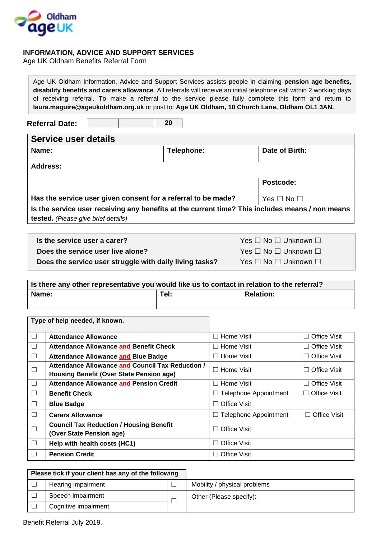

## **INFORMATION, ADVICE AND SUPPORT SERVICES**

Age UK Oldham Benefits Referral Form

**Referral Date: Service user details Name: Name: Parameters Parameters Parameters Parameters Parameters Parameters Parameters Parameters Parameters Address: Postcode: Has the service user given consent for a referral to be made?**  $\forall$ es □ No □ **Is the service user receiving any benefits at the current time? This includes means / non means tested.** *(Please give brief details)* **Is there any other representative you would like us to contact in relation to the referral? Name: Tel: Relation: Type of help needed, if known.** ☐ **Attendance Allowance** ☐ Home Visit ☐ Office Visit ☐ **Attendance Allowance and Benefit Check** ☐ Home Visit ☐ Office Visit ☐ **Attendance Allowance and Blue Badge** ☐ Home Visit ☐ Office Visit  $\Box$ **Attendance Allowance and Council Tax Reduction / Housing Benefit (Over State Pension age)** ☐ Home Visit ☐ Office Visit ☐ **Attendance Allowance and Pension Credit** ☐ Home Visit ☐ Office Visit ☐ **Benefit Check** ☐ Telephone Appointment ☐ Office Visit ☐ **Blue Badge** ☐ Office Visit ☐ **Carers Allowance** ☐ Telephone Appointment ☐ Office Visit ☐ **Council Tax Reduction / Housing Benefit Counting Tax Reduction 7 Todding Benefit**<br>
(Over State Pension age) ☐ **Help with health costs (HC1)** ☐ Office Visit ☐ **Pension Credit** ☐ Office Visit **20 disability benefits and carers allowance**. All referrals will receive an initial telephone call within 2 working days of receiving referral. To make a referral to the service please fully complete this form and return to **laura.maguire@ageukoldham.org.uk** or post to: **Age UK Oldham, 10 Church Lane, Oldham OL1 3AN. Is the service user a carer?** All the service user a carer? All the service user a carer? All the service user a carer? All the service user a carer? All the service user a carer? All the service user a carer? All the se **Does the service user live alone?** *Yes* **□ No □ Unknown □ Does the service user struggle with daily living tasks?** Yes □ No □ Unknown □

Age UK Oldham Information, Advice and Support Services assists people in claiming **pension age benefits,** 

| Please tick if your client has any of the following |                      |  |                              |
|-----------------------------------------------------|----------------------|--|------------------------------|
|                                                     | Hearing impairment   |  | Mobility / physical problems |
|                                                     | Speech impairment    |  | Other (Please specify):      |
|                                                     | Cognitive impairment |  |                              |

Benefit Referral July 2019.